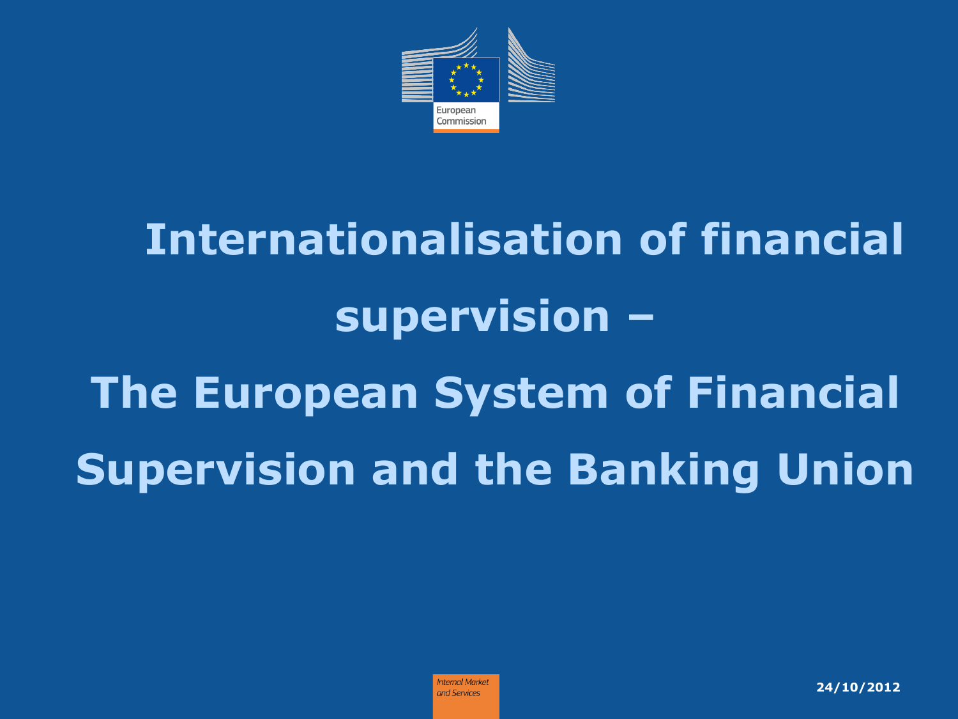

# **Internationalisation of financial supervision – The European System of Financial Supervision and the Banking Union**

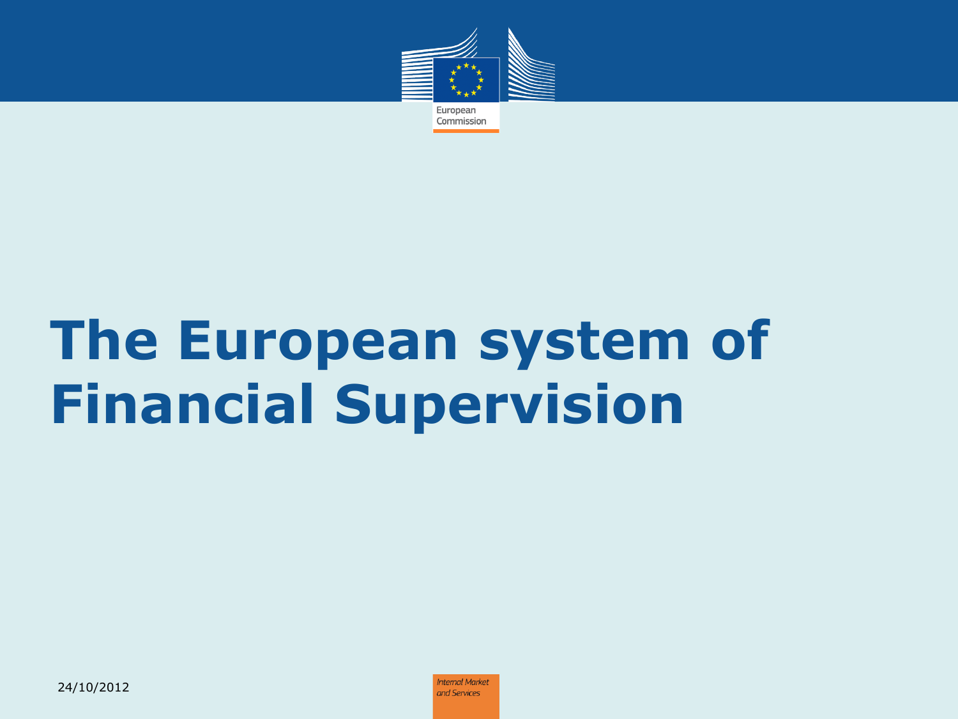

# **The European system of Financial Supervision**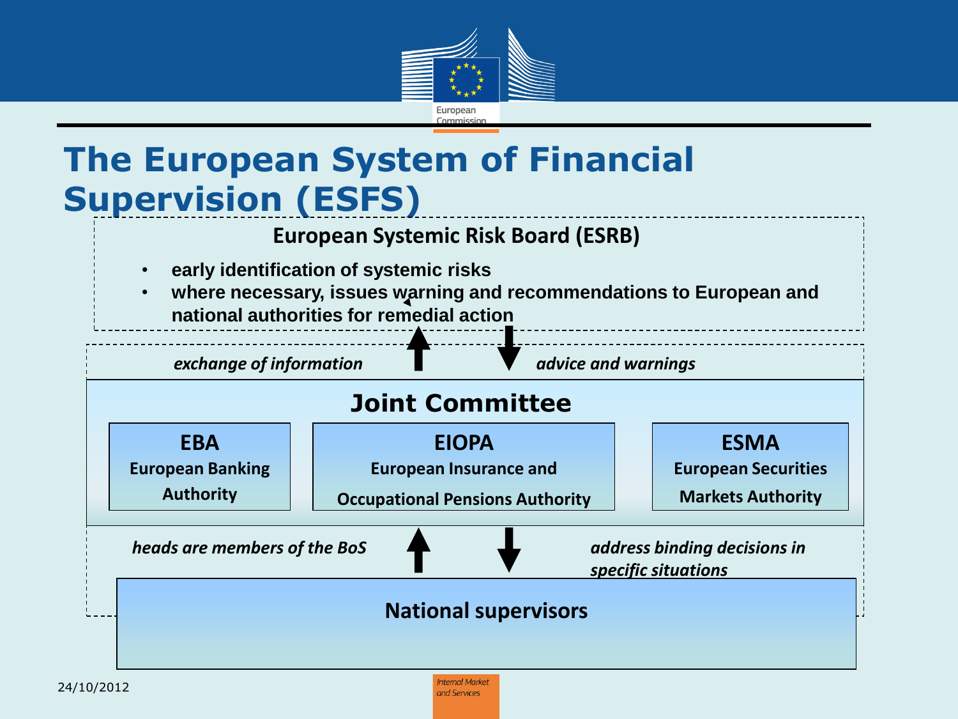

#### **The European System of Financial Supervision (ESFS)**

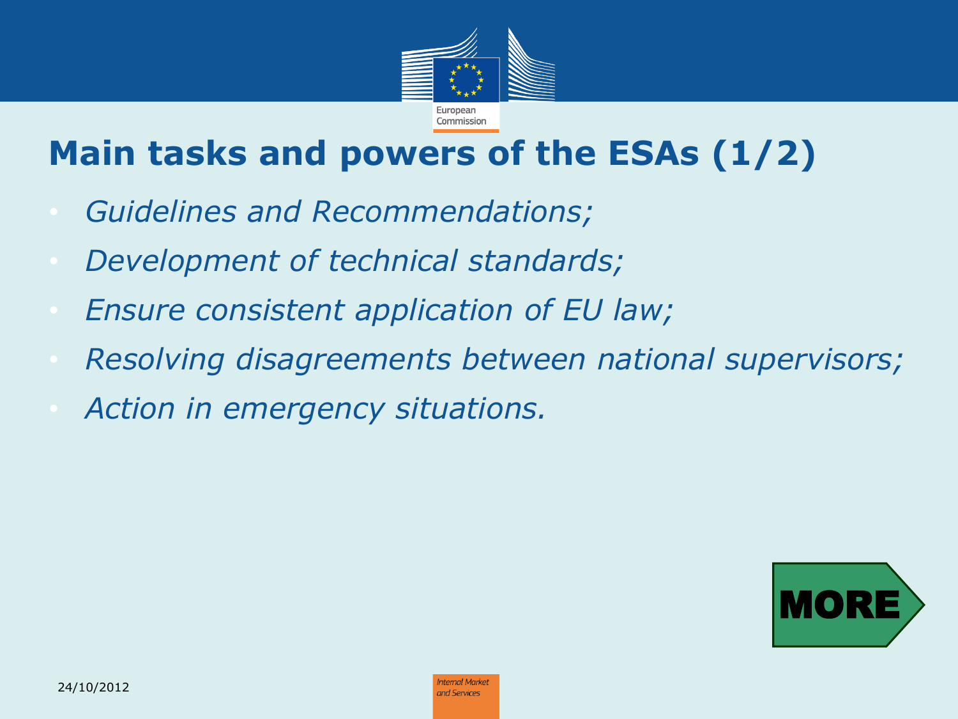

#### **Main tasks and powers of the ESAs (1/2)**

- *Guidelines and Recommendations;*
- *Development of technical standards;*
- *Ensure consistent application of EU law;*
- *Resolving disagreements between national supervisors;*
- *Action in emergency situations.*

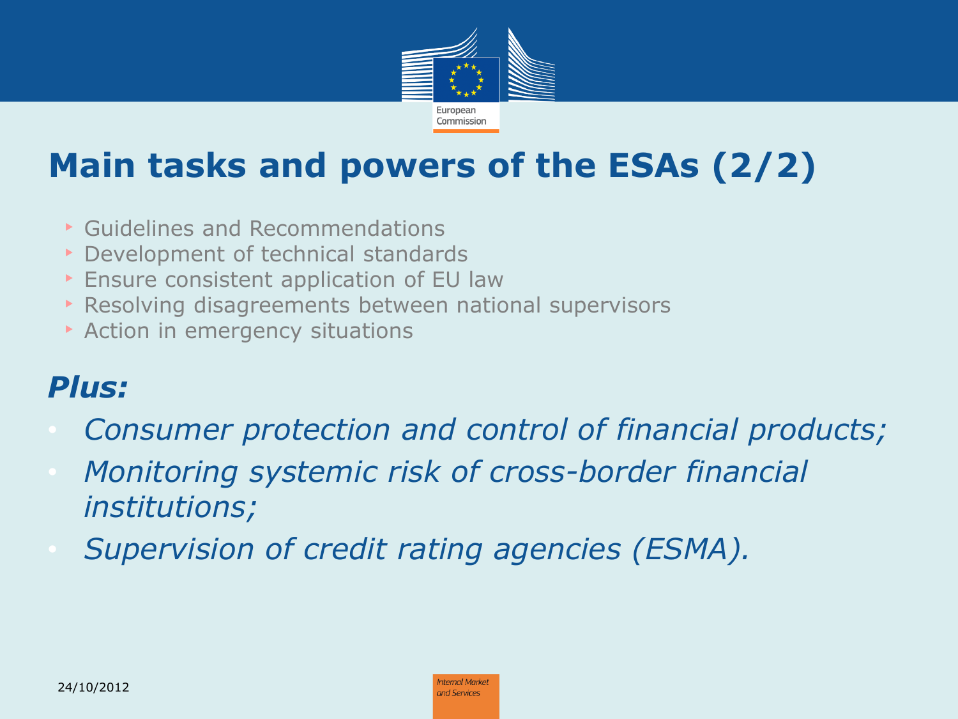

#### **Main tasks and powers of the ESAs (2/2)**

- ‣ Guidelines and Recommendations
- ‣ Development of technical standards
- ▶ Ensure consistent application of EU law
- ‣ Resolving disagreements between national supervisors
- **Action in emergency situations**

#### *Plus:*

- *Consumer protection and control of financial products;*
- *Monitoring systemic risk of cross-border financial institutions;*
- *Supervision of credit rating agencies (ESMA).*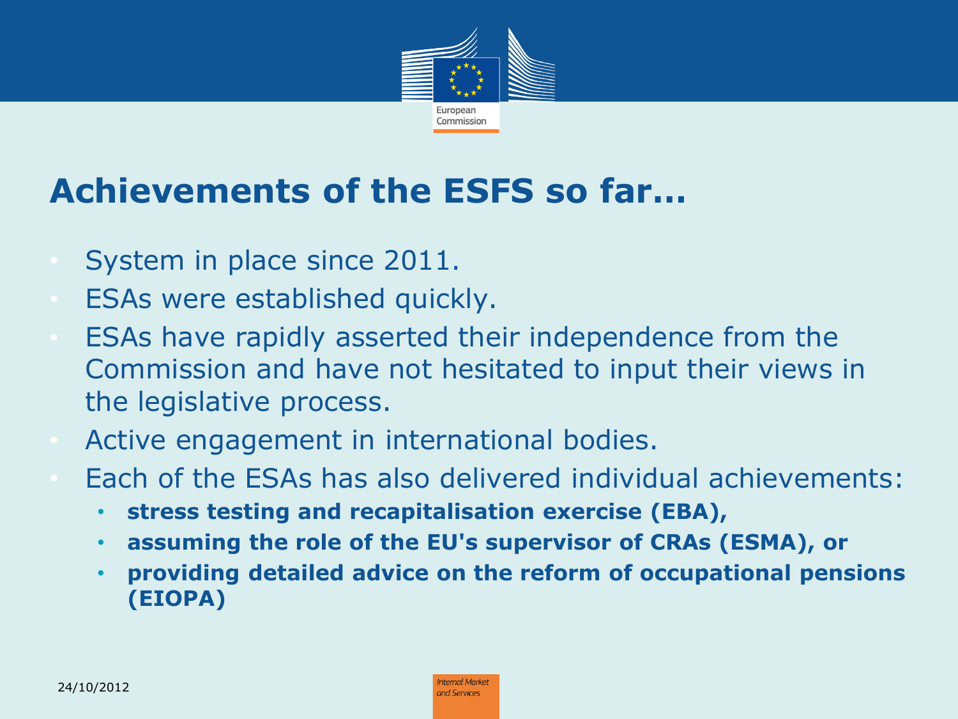

#### **Achievements of the ESFS so far…**

- System in place since 2011.
- ESAs were established quickly.
- ESAs have rapidly asserted their independence from the Commission and have not hesitated to input their views in the legislative process.
- Active engagement in international bodies.
- Each of the ESAs has also delivered individual achievements:
	- **stress testing and recapitalisation exercise (EBA),**
	- **assuming the role of the EU's supervisor of CRAs (ESMA), or**
	- **providing detailed advice on the reform of occupational pensions (EIOPA)**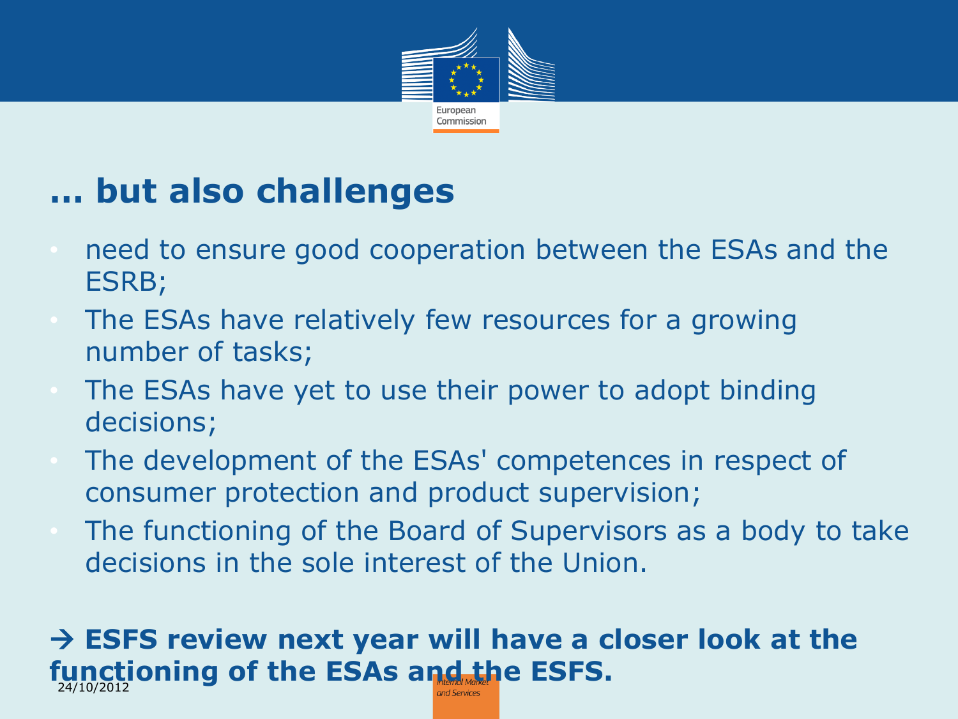

#### **… but also challenges**

- need to ensure good cooperation between the ESAs and the ESRB;
- The ESAs have relatively few resources for a growing number of tasks;
- The ESAs have yet to use their power to adopt binding decisions;
- The development of the ESAs' competences in respect of consumer protection and product supervision;
- The functioning of the Board of Supervisors as a body to take decisions in the sole interest of the Union.

#### **ESFS review next year will have a closer look at the functioning of the ESAs and the ESFS.** 24/10/2012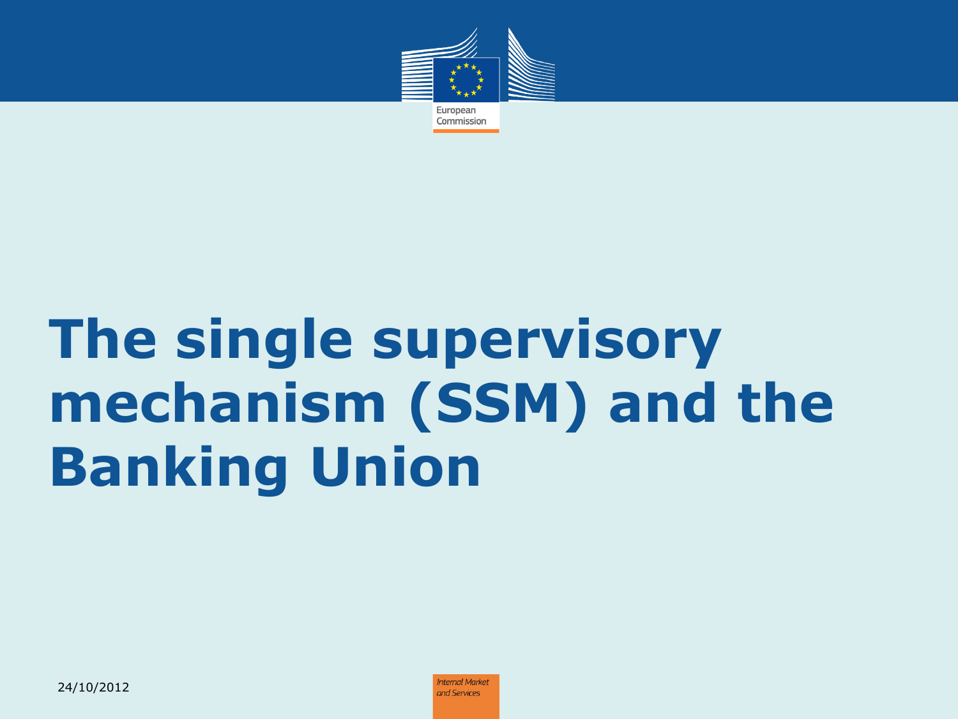

# **The single supervisory mechanism (SSM) and the Banking Union**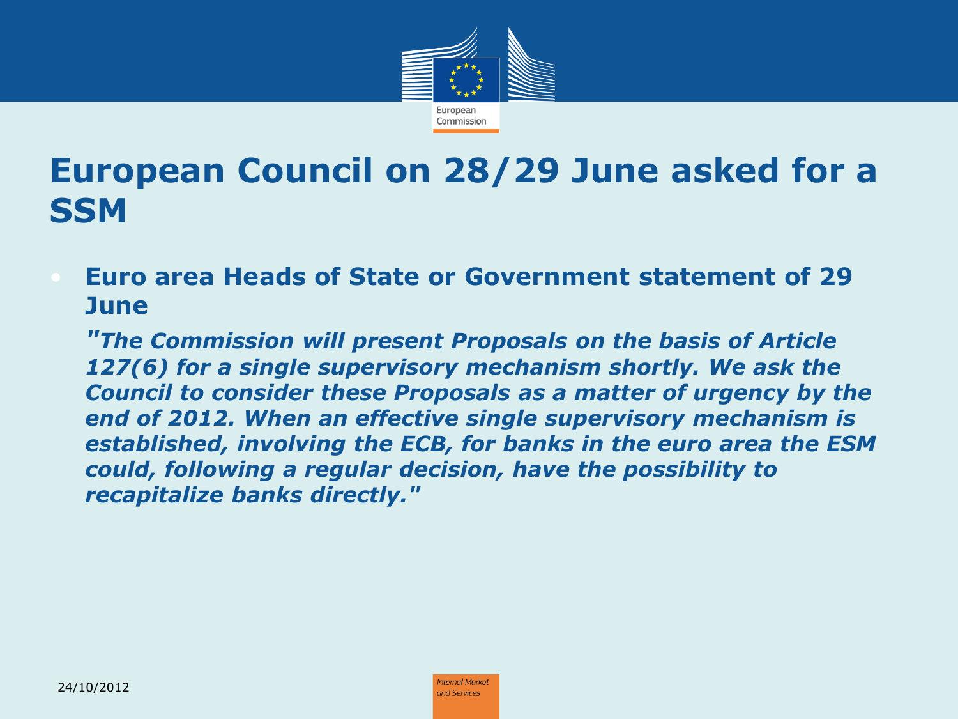

#### **European Council on 28/29 June asked for a SSM**

• **Euro area Heads of State or Government statement of 29 June**

*"The Commission will present Proposals on the basis of Article 127(6) for a single supervisory mechanism shortly. We ask the Council to consider these Proposals as a matter of urgency by the end of 2012. When an effective single supervisory mechanism is established, involving the ECB, for banks in the euro area the ESM could, following a regular decision, have the possibility to recapitalize banks directly."*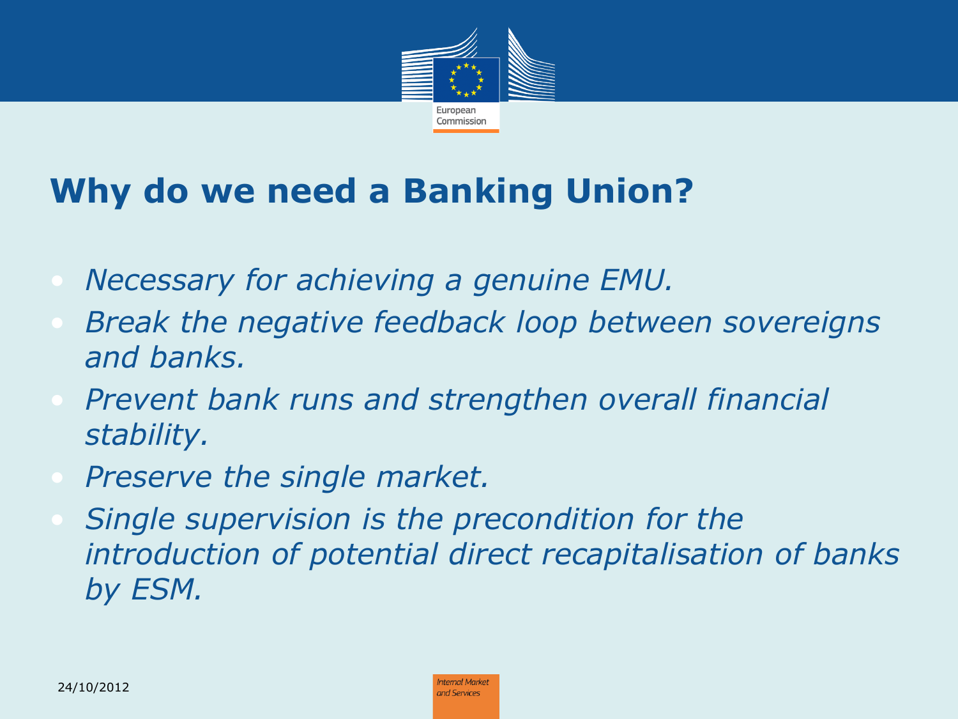

#### **Why do we need a Banking Union?**

- *Necessary for achieving a genuine EMU.*
- *Break the negative feedback loop between sovereigns and banks.*
- *Prevent bank runs and strengthen overall financial stability.*
- *Preserve the single market.*
- *Single supervision is the precondition for the introduction of potential direct recapitalisation of banks by ESM.*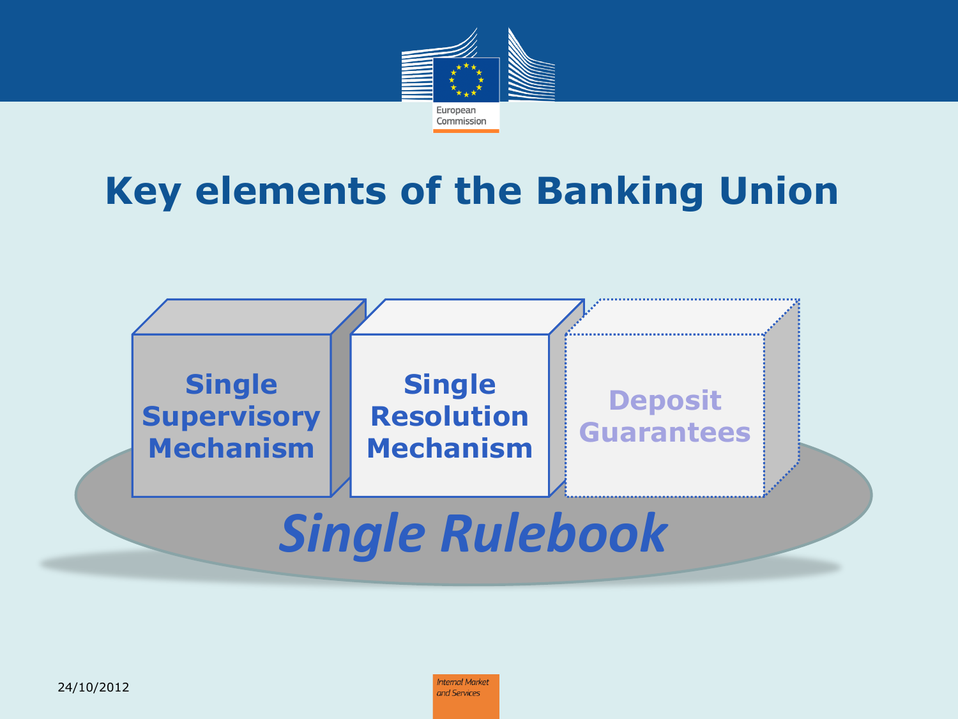

#### **Key elements of the Banking Union**

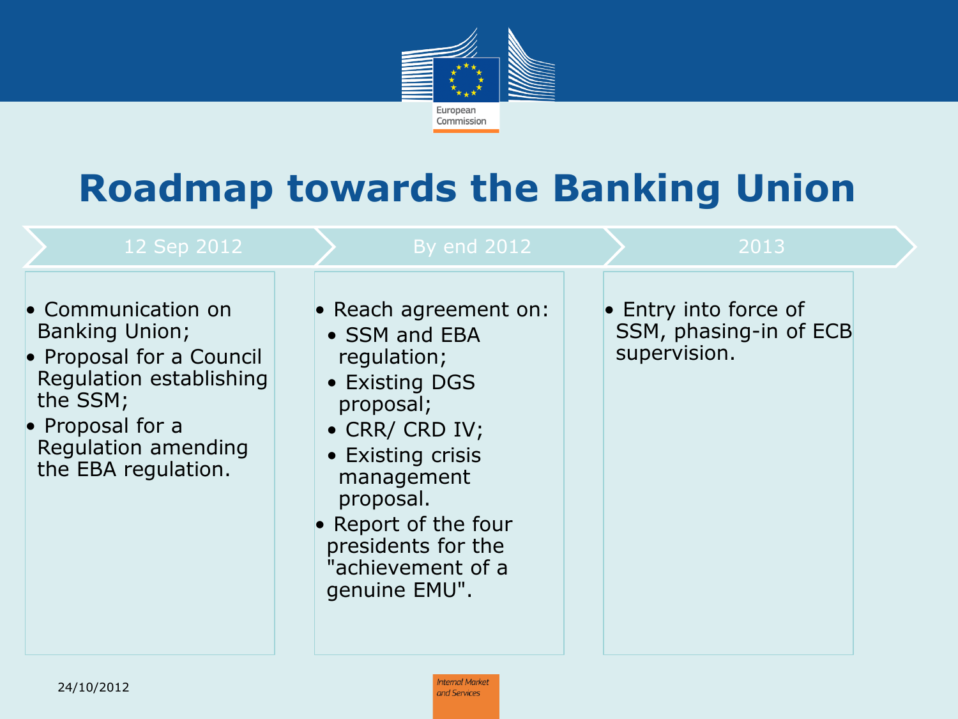

### **Roadmap towards the Banking Union**

| 12 Sep 2012                                                                                                                                                                      | <b>By end 2012</b>                                                                                                                                                                                                                         | 2013                                                            |  |
|----------------------------------------------------------------------------------------------------------------------------------------------------------------------------------|--------------------------------------------------------------------------------------------------------------------------------------------------------------------------------------------------------------------------------------------|-----------------------------------------------------------------|--|
| • Communication on<br><b>Banking Union;</b><br>• Proposal for a Council<br>Regulation establishing<br>the SSM;<br>• Proposal for a<br>Regulation amending<br>the EBA regulation. | • Reach agreement on:<br>• SSM and EBA<br>regulation;<br>• Existing DGS<br>proposal;<br>• CRR/ CRD IV;<br>• Existing crisis<br>management<br>proposal.<br>• Report of the four<br>presidents for the<br>"achievement of a<br>genuine EMU". | • Entry into force of<br>SSM, phasing-in of ECB<br>supervision. |  |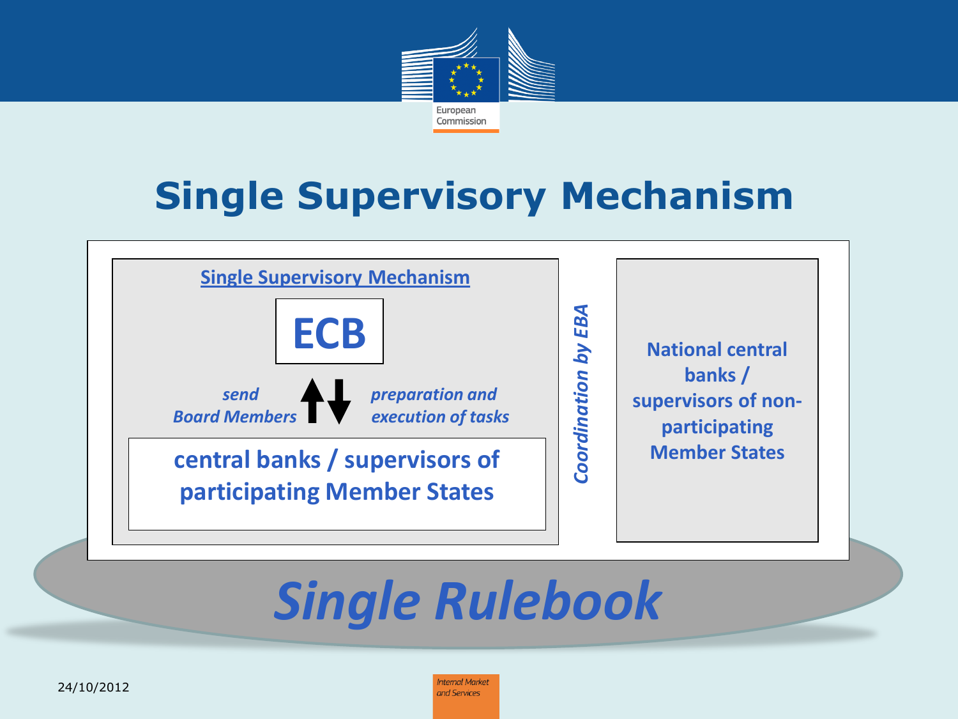

### **Single Supervisory Mechanism**

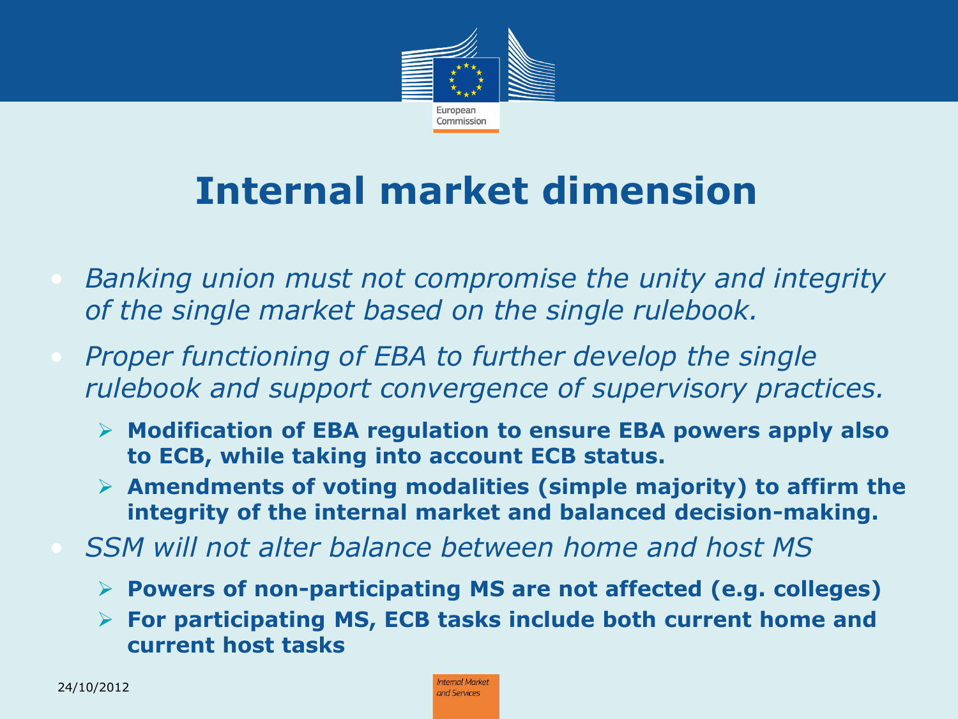

## **Internal market dimension**

- *Banking union must not compromise the unity and integrity of the single market based on the single rulebook.*
- *Proper functioning of EBA to further develop the single rulebook and support convergence of supervisory practices.* 
	- **Modification of EBA regulation to ensure EBA powers apply also to ECB, while taking into account ECB status.**
	- **Amendments of voting modalities (simple majority) to affirm the integrity of the internal market and balanced decision-making.**
- *SSM will not alter balance between home and host MS*
	- **Powers of non-participating MS are not affected (e.g. colleges)**
	- **For participating MS, ECB tasks include both current home and current host tasks**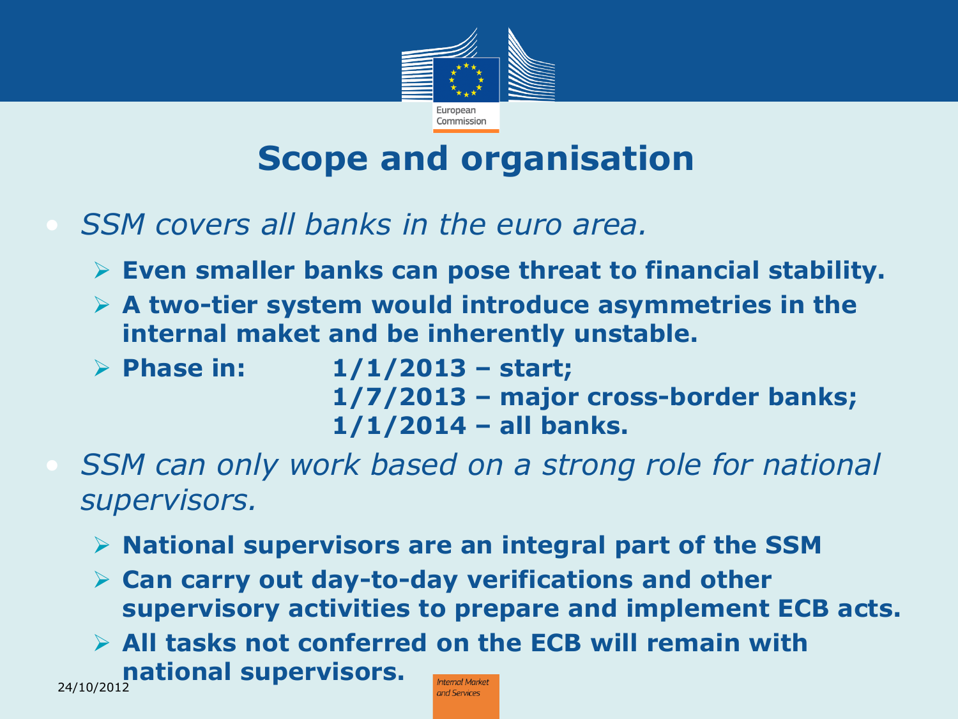

#### **Scope and organisation**

- *SSM covers all banks in the euro area.*
	- **Even smaller banks can pose threat to financial stability.**
	- **A two-tier system would introduce asymmetries in the internal maket and be inherently unstable.**
	- **Phase in: 1/1/2013 – start; 1/7/2013 – major cross-border banks; 1/1/2014 – all banks.**
- *SSM can only work based on a strong role for national supervisors.*
	- **National supervisors are an integral part of the SSM**
	- **Can carry out day-to-day verifications and other supervisory activities to prepare and implement ECB acts.**
	- **All tasks not conferred on the ECB will remain with national supervisors.**  24/10/2012**Internal Market**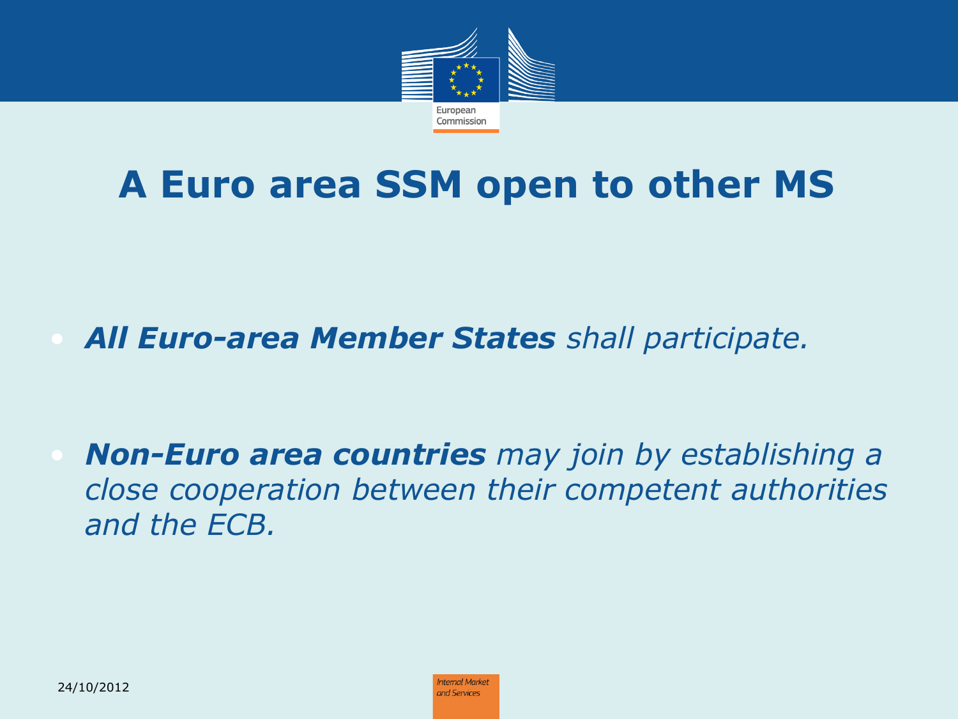

### **A Euro area SSM open to other MS**

• *All Euro-area Member States shall participate.*

• *Non-Euro area countries may join by establishing a close cooperation between their competent authorities and the ECB.*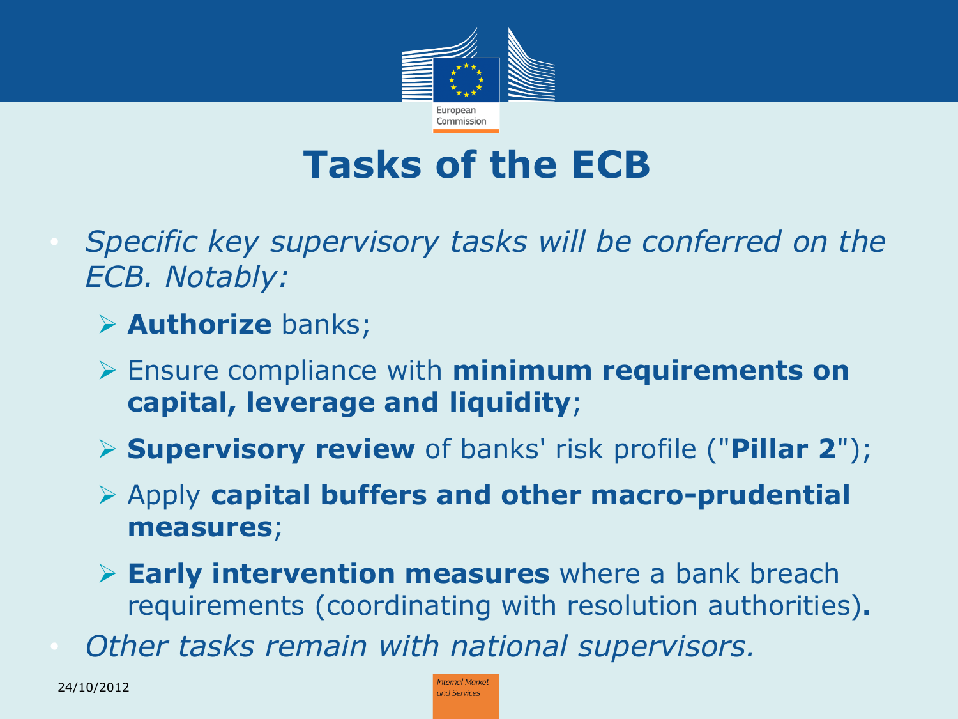

### **Tasks of the ECB**

- *Specific key supervisory tasks will be conferred on the ECB. Notably:*
	- **Authorize** banks;
	- Ensure compliance with **minimum requirements on capital, leverage and liquidity**;
	- **Supervisory review** of banks' risk profile ("**Pillar 2**");
	- Apply **capital buffers and other macro-prudential measures**;
	- **Early intervention measures** where a bank breach requirements (coordinating with resolution authorities)**.**
- *Other tasks remain with national supervisors.*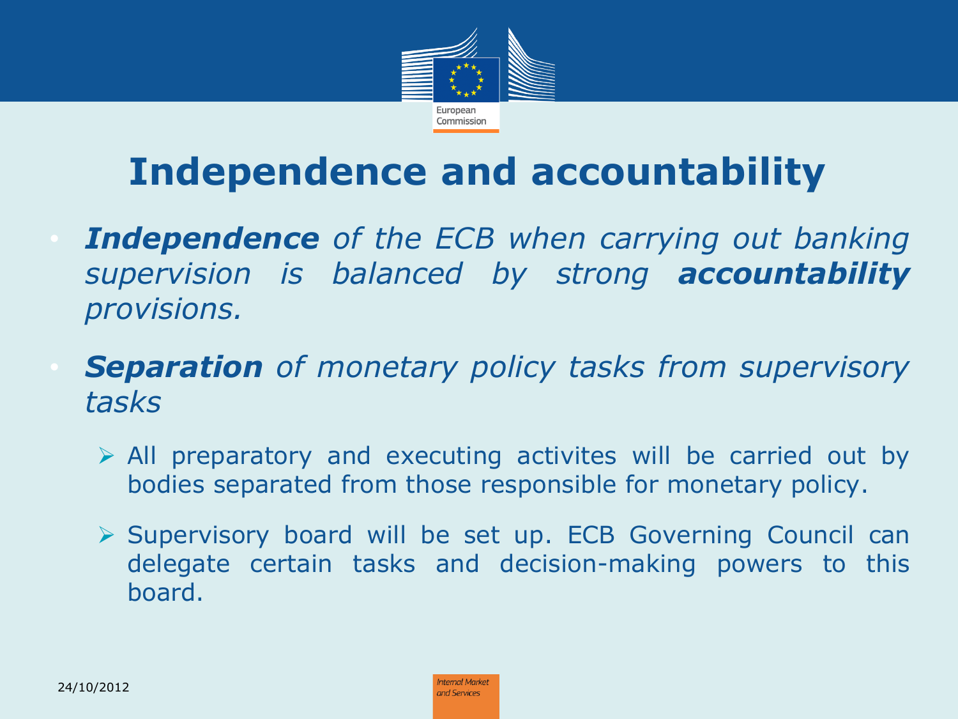

## **Independence and accountability**

- *Independence of the ECB when carrying out banking supervision is balanced by strong accountability provisions.*
- *Separation of monetary policy tasks from supervisory tasks*
	- $\triangleright$  All preparatory and executing activites will be carried out by bodies separated from those responsible for monetary policy.
	- $\triangleright$  Supervisory board will be set up. ECB Governing Council can delegate certain tasks and decision-making powers to this board.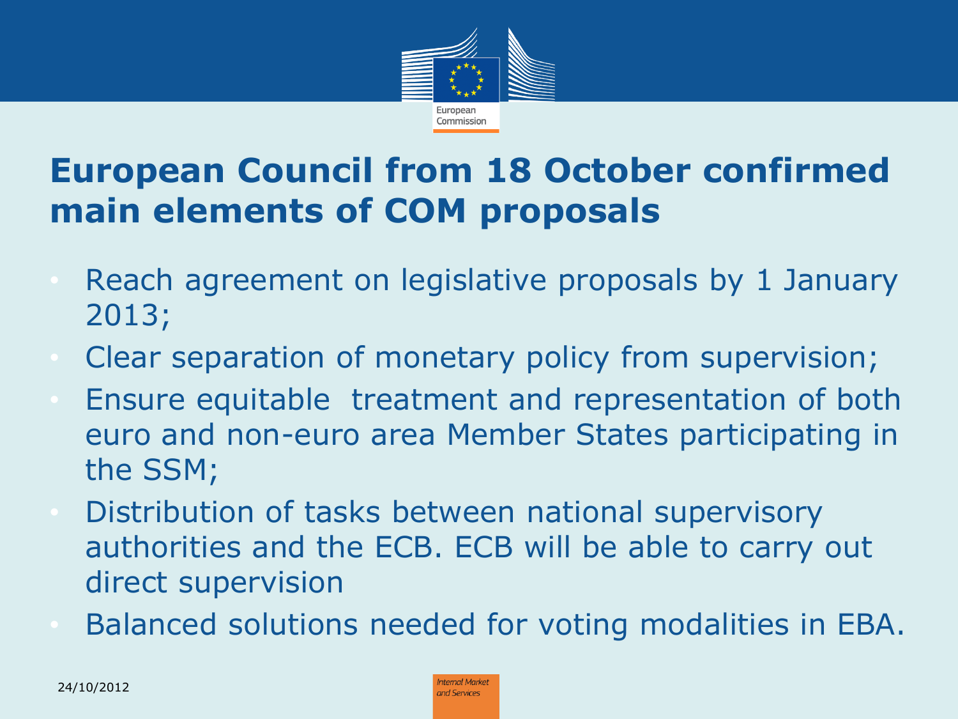

#### **European Council from 18 October confirmed main elements of COM proposals**

- Reach agreement on legislative proposals by 1 January 2013;
- Clear separation of monetary policy from supervision;
- Ensure equitable treatment and representation of both euro and non-euro area Member States participating in the SSM;
- Distribution of tasks between national supervisory authorities and the ECB. ECB will be able to carry out direct supervision
- Balanced solutions needed for voting modalities in EBA.